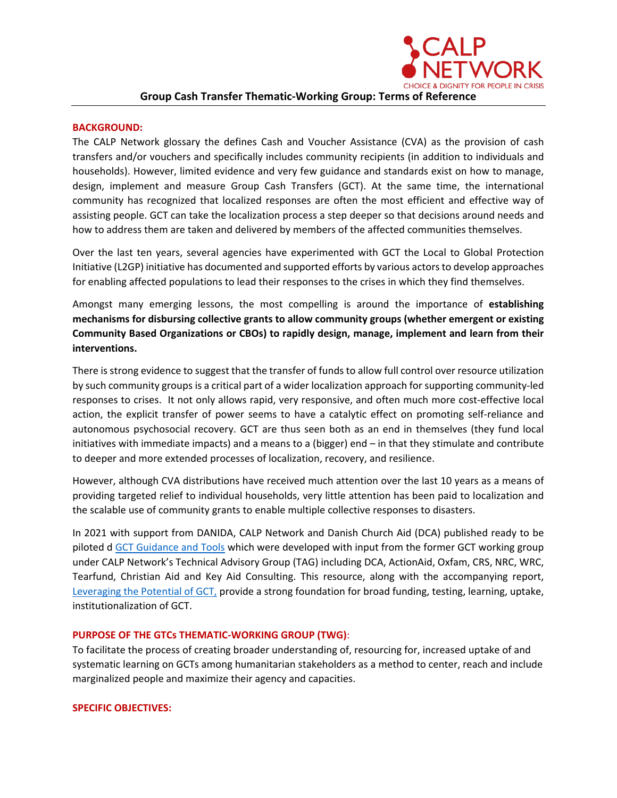### **BACKGROUND:**

The CALP Network glossary the defines Cash and Voucher Assistance (CVA) as the provision of cash transfers and/or vouchers and specifically includes community recipients (in addition to individuals and households). However, limited evidence and very few guidance and standards exist on how to manage, design, implement and measure Group Cash Transfers (GCT). At the same time, the international community has recognized that localized responses are often the most efficient and effective way of assisting people. GCT can take the localization process a step deeper so that decisions around needs and how to address them are taken and delivered by members of the affected communities themselves.

Over the last ten years, several agencies have experimented with GCT the Local to Global Protection Initiative (L2GP) initiative has documented and supported efforts by various actors to develop approaches for enabling affected populations to lead their responses to the crises in which they find themselves.

Amongst many emerging lessons, the most compelling is around the importance of **establishing mechanisms for disbursing collective grants to allow community groups (whether emergent or existing Community Based Organizations or CBOs) to rapidly design, manage, implement and learn from their interventions.**

There is strong evidence to suggest that the transfer of funds to allow full control over resource utilization by such community groups is a critical part of a wider localization approach for supporting community-led responses to crises. It not only allows rapid, very responsive, and often much more cost-effective local action, the explicit transfer of power seems to have a catalytic effect on promoting self-reliance and autonomous psychosocial recovery. GCT are thus seen both as an end in themselves (they fund local initiatives with immediate impacts) and a means to a (bigger) end – in that they stimulate and contribute to deeper and more extended processes of localization, recovery, and resilience.

However, although CVA distributions have received much attention over the last 10 years as a means of providing targeted relief to individual households, very little attention has been paid to localization and the scalable use of community grants to enable multiple collective responses to disasters.

In 2021 with support from DANIDA, CALP Network and Danish Church Aid (DCA) published ready to be piloted d [GCT Guidance and Tools](https://www.calpnetwork.org/publication/group-cash-transfers-guidance-and-tools/) which were developed with input from the former GCT working group under CALP Network's Technical Advisory Group (TAG) including DCA, ActionAid, Oxfam, CRS, NRC, WRC, Tearfund, Christian Aid and Key Aid Consulting. This resource, along with the accompanying report, [Leveraging the Potential of GCT,](https://www.calpnetwork.org/publication/leveraging-the-potential-for-group-cash-transfers-a-complementary-report-to-the-group-cash-transfer-guidance-and-tools-pilot-version/) provide a strong foundation for broad funding, testing, learning, uptake, institutionalization of GCT.

### **PURPOSE OF THE GTCs THEMATIC-WORKING GROUP (TWG)**:

To facilitate the process of creating broader understanding of, resourcing for, increased uptake of and systematic learning on GCTs among humanitarian stakeholders as a method to center, reach and include marginalized people and maximize their agency and capacities.

### **SPECIFIC OBJECTIVES:**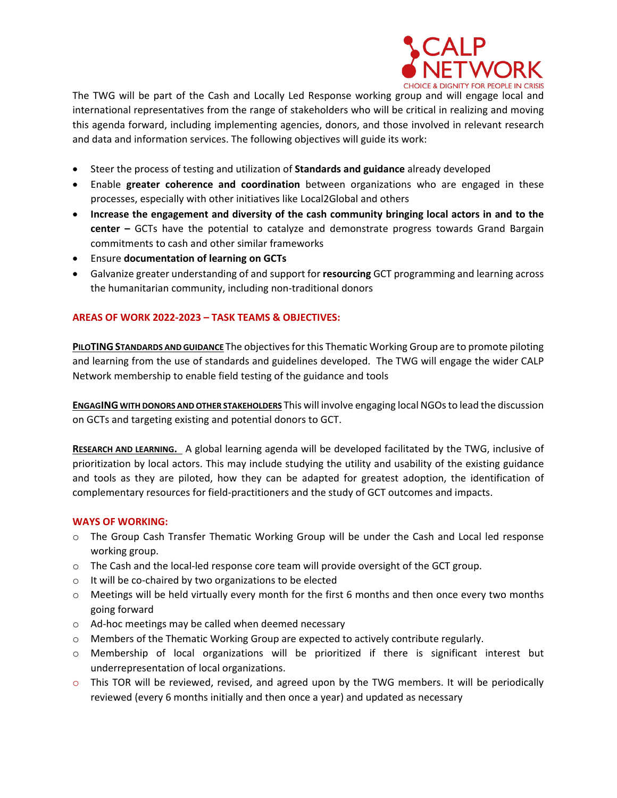

The TWG will be part of the Cash and Locally Led Response working group and will engage local and international representatives from the range of stakeholders who will be critical in realizing and moving this agenda forward, including implementing agencies, donors, and those involved in relevant research and data and information services. The following objectives will guide its work:

- Steer the process of testing and utilization of **Standards and guidance** already developed
- Enable **greater coherence and coordination** between organizations who are engaged in these processes, especially with other initiatives like Local2Global and others
- **Increase the engagement and diversity of the cash community bringing local actors in and to the center –** GCTs have the potential to catalyze and demonstrate progress towards Grand Bargain commitments to cash and other similar frameworks
- Ensure **documentation of learning on GCTs**
- Galvanize greater understanding of and support for **resourcing** GCT programming and learning across the humanitarian community, including non-traditional donors

# **AREAS OF WORK 2022-2023 – TASK TEAMS & OBJECTIVES:**

**PILOTING STANDARDS AND GUIDANCE** The objectives for this Thematic Working Group are to promote piloting and learning from the use of standards and guidelines developed. The TWG will engage the wider CALP Network membership to enable field testing of the guidance and tools

**ENGAGING WITH DONORS AND OTHER STAKEHOLDERS** This will involve engaging local NGOs to lead the discussion on GCTs and targeting existing and potential donors to GCT.

**RESEARCH AND LEARNING.** A global learning agenda will be developed facilitated by the TWG, inclusive of prioritization by local actors. This may include studying the utility and usability of the existing guidance and tools as they are piloted, how they can be adapted for greatest adoption, the identification of complementary resources for field-practitioners and the study of GCT outcomes and impacts.

# **WAYS OF WORKING:**

- o The Group Cash Transfer Thematic Working Group will be under the Cash and Local led response working group.
- o The Cash and the local-led response core team will provide oversight of the GCT group.
- o It will be co-chaired by two organizations to be elected
- $\circ$  Meetings will be held virtually every month for the first 6 months and then once every two months going forward
- o Ad-hoc meetings may be called when deemed necessary
- o Members of the Thematic Working Group are expected to actively contribute regularly.
- o Membership of local organizations will be prioritized if there is significant interest but underrepresentation of local organizations.
- $\circ$  This TOR will be reviewed, revised, and agreed upon by the TWG members. It will be periodically reviewed (every 6 months initially and then once a year) and updated as necessary